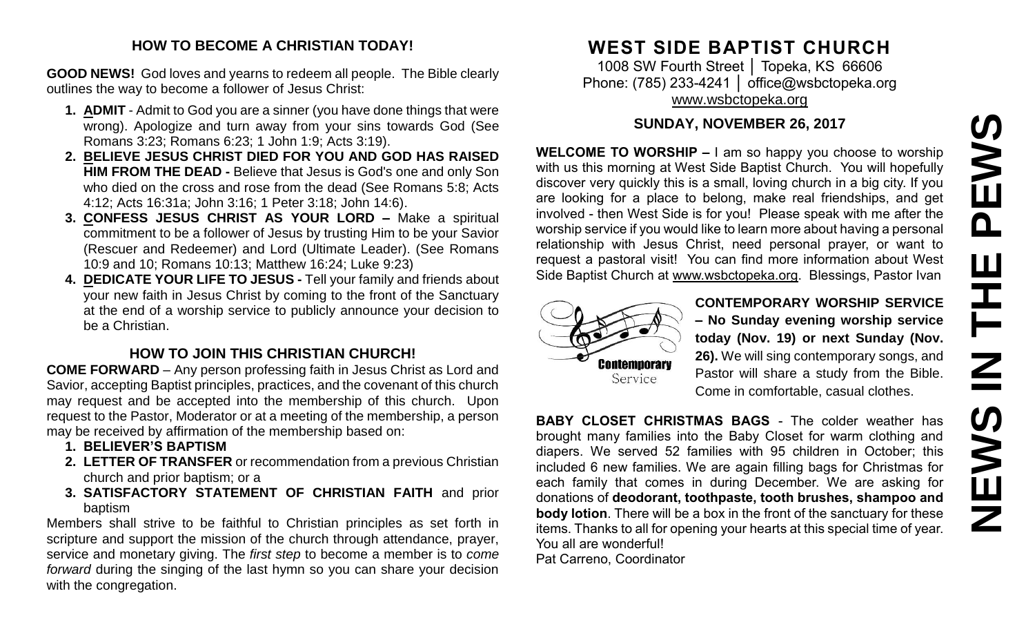# PEWS **NEWS IN THE PEWS**Ш **HHZ SMENS**

#### **HOW TO BECOME A CHRISTIAN TODAY!**

**GOOD NEWS!** God loves and yearns to redeem all people. The Bible clearly outlines the way to become a follower of Jesus Christ:

- **1. ADMIT** Admit to God you are a sinner (you have done things that were wrong). Apologize and turn away from your sins towards God (See Romans 3:23; Romans 6:23; 1 John 1:9; Acts 3:19).
- **2. BELIEVE JESUS CHRIST DIED FOR YOU AND GOD HAS RAISED HIM FROM THE DEAD -** Believe that Jesus is God's one and only Son who died on the cross and rose from the dead (See Romans 5:8; Acts 4:12; Acts 16:31a; John 3:16; 1 Peter 3:18; John 14:6).
- **3. CONFESS JESUS CHRIST AS YOUR LORD –** Make a spiritual commitment to be a follower of Jesus by trusting Him to be your Savior (Rescuer and Redeemer) and Lord (Ultimate Leader). (See Romans 10:9 and 10; Romans 10:13; Matthew 16:24; Luke 9:23)
- **4. DEDICATE YOUR LIFE TO JESUS -** Tell your family and friends about your new faith in Jesus Christ by coming to the front of the Sanctuary at the end of a worship service to publicly announce your decision to be a Christian.

## **HOW TO JOIN THIS CHRISTIAN CHURCH!**

**COME FORWARD** – Any person professing faith in Jesus Christ as Lord and Savior, accepting Baptist principles, practices, and the covenant of this church may request and be accepted into the membership of this church. Upon request to the Pastor, Moderator or at a meeting of the membership, a person may be received by affirmation of the membership based on:

- **1. BELIEVER'S BAPTISM**
- **2. LETTER OF TRANSFER** or recommendation from a previous Christian church and prior baptism; or a
- **3. SATISFACTORY STATEMENT OF CHRISTIAN FAITH** and prior baptism

Members shall strive to be faithful to Christian principles as set forth in scripture and support the mission of the church through attendance, prayer, service and monetary giving. The *first step* to become a member is to *come forward* during the singing of the last hymn so you can share your decision with the congregation.

# **WEST SIDE BAPTIST CHURCH**

1008 SW Fourth Street │ Topeka, KS 66606 Phone: (785) 233-4241 | [office@wsbctopeka.org](mailto:office@wsbctopeka.org) [www.wsbctopeka.org](http://www.wsbctopeka.org/)

### **SUNDAY, NOVEMBER 26, 2017**

**WELCOME TO WORSHIP –** I am so happy you choose to worship with us this morning at West Side Baptist Church. You will hopefully discover very quickly this is a small, loving church in a big city. If you are looking for a place to belong, make real friendships, and get involved - then West Side is for you! Please speak with me after the worship service if you would like to learn more about having a personal relationship with Jesus Christ, need personal prayer, or want to request a pastoral visit! You can find more information about West Side Baptist Church at [www.wsbctopeka.org.](http://www.wsbctopeka.org/) Blessings, Pastor Ivan



**CONTEMPORARY WORSHIP SERVICE – No Sunday evening worship service today (Nov. 19) or next Sunday (Nov. 26).** We will sing contemporary songs, and Pastor will share a study from the Bible. Come in comfortable, casual clothes.

**BABY CLOSET CHRISTMAS BAGS** - The colder weather has brought many families into the Baby Closet for warm clothing and diapers. We served 52 families with 95 children in October; this included 6 new families. We are again filling bags for Christmas for each family that comes in during December. We are asking for donations of **deodorant, toothpaste, tooth brushes, shampoo and body lotion**. There will be a box in the front of the sanctuary for these items. Thanks to all for opening your hearts at this special time of year. You all are wonderful!

Pat Carreno, Coordinator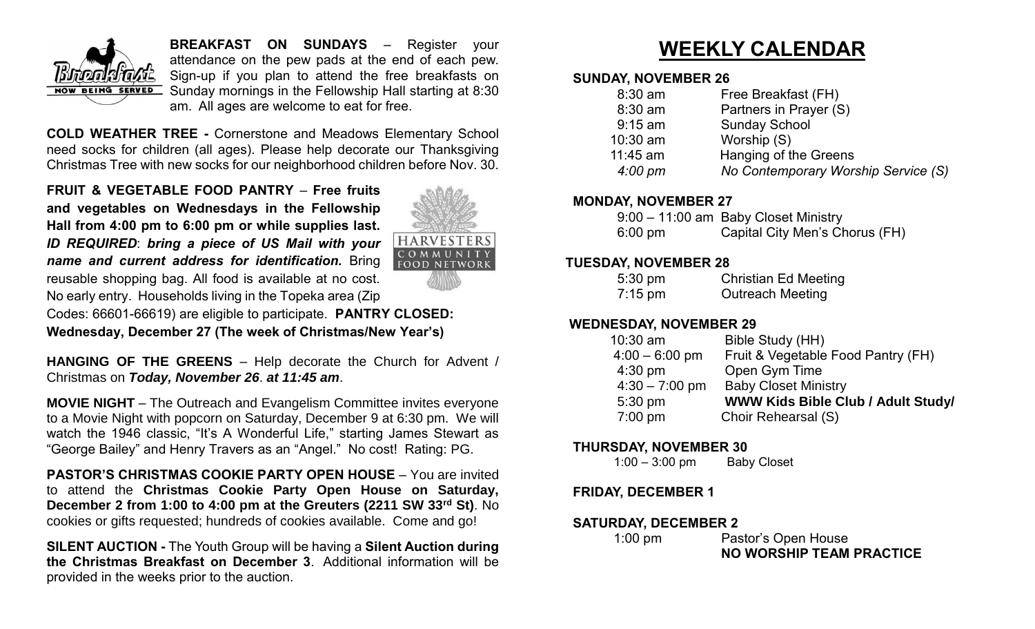

**BREAKFAST ON SUNDAYS** – Register your attendance on the pew pads at the end of each pew. Sign-up if you plan to attend the free breakfasts on **NOW BEING SERVED** Sunday mornings in the Fellowship Hall starting at 8:30 am. All ages are welcome to eat for free.

**COLD WEATHER TREE -** Cornerstone and Meadows Elementary School need socks for children (all ages). Please help decorate our Thanksgiving Christmas Tree with new socks for our neighborhood children before Nov. 30.

**FRUIT & VEGETABLE FOOD PANTRY** – **Free fruits and vegetables on Wednesdays in the Fellowship Hall from 4:00 pm to 6:00 pm or while supplies last.** *ID REQUIRED*: *bring a piece of US Mail with your name and current address for identification.* Bring reusable shopping bag. All food is available at no cost. No early entry. Households living in the Topeka area (Zip



Codes: 66601-66619) are eligible to participate. **PANTRY CLOSED: Wednesday, December 27 (The week of Christmas/New Year's)** 

**HANGING OF THE GREENS** – Help decorate the Church for Advent / Christmas on *Today, November 26*. *at 11:45 am*.

**MOVIE NIGHT** – The Outreach and Evangelism Committee invites everyone to a Movie Night with popcorn on Saturday, December 9 at 6:30 pm. We will watch the 1946 classic, "It's A Wonderful Life," starting James Stewart as "George Bailey" and Henry Travers as an "Angel." No cost! Rating: PG.

**PASTOR'S CHRISTMAS COOKIE PARTY OPEN HOUSE** – You are invited to attend the **Christmas Cookie Party Open House on Saturday, December 2 from 1:00 to 4:00 pm at the Greuters (2211 SW 33rd St)**. No cookies or gifts requested; hundreds of cookies available. Come and go!

**SILENT AUCTION -** The Youth Group will be having a **Silent Auction during the Christmas Breakfast on December 3**. Additional information will be provided in the weeks prior to the auction.

# **WEEKLY CALENDAR**

#### **SUNDAY, NOVEMBER 26**

| $8:30$ am         | Free Breakfast (FH)                 |
|-------------------|-------------------------------------|
| 8:30 am           | Partners in Prayer (S)              |
| $9:15$ am         | <b>Sunday School</b>                |
| $10:30$ am        | Worship (S)                         |
| 11:45 am          | Hanging of the Greens               |
| $4:00 \text{ pm}$ | No Contemporary Worship Service (S) |
|                   |                                     |

#### **MONDAY, NOVEMBER 27**

|                   | 9:00 - 11:00 am Baby Closet Ministry |
|-------------------|--------------------------------------|
| $6:00 \text{ pm}$ | Capital City Men's Chorus (FH)       |

#### **TUESDAY, NOVEMBER 28**

| $5:30 \text{ pm}$ | <b>Christian Ed Meeting</b> |
|-------------------|-----------------------------|
| $7:15 \text{ pm}$ | <b>Outreach Meeting</b>     |

#### **WEDNESDAY, NOVEMBER 29**

| $10:30$ am       | Bible Study (HH)                          |
|------------------|-------------------------------------------|
| $4:00 - 6:00$ pm | Fruit & Vegetable Food Pantry (FH)        |
| $4:30$ pm        | Open Gym Time                             |
| $4:30 - 7:00$ pm | <b>Baby Closet Ministry</b>               |
| 5:30 pm          | <b>WWW Kids Bible Club / Adult Study/</b> |
| $7:00$ pm        | Choir Rehearsal (S)                       |

#### **THURSDAY, NOVEMBER 30**

1:00 – 3:00 pm Baby Closet

#### **FRIDAY, DECEMBER 1**

#### **SATURDAY, DECEMBER 2**

| $1:00$ pm | Pastor's Open House      |
|-----------|--------------------------|
|           | NO WORSHIP TEAM PRACTICE |